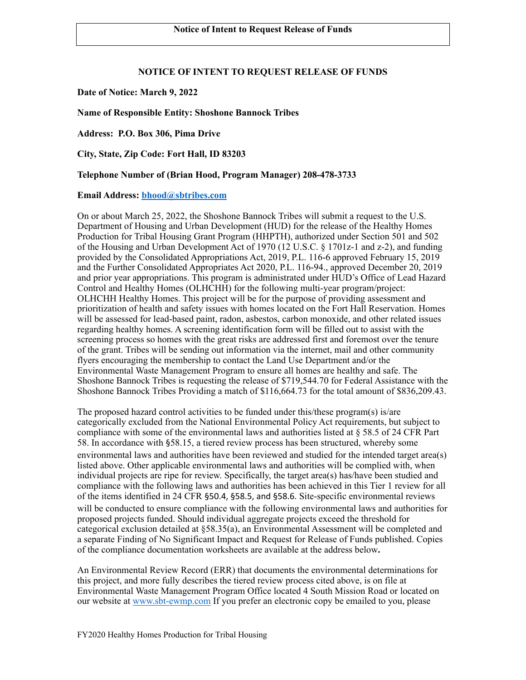# **NOTICE OF INTENT TO REQUEST RELEASE OF FUNDS**

**Date of Notice: March 9, 2022** 

### **Name of Responsible Entity: Shoshone Bannock Tribes**

**Address: P.O. Box 306, Pima Drive**

**City, State, Zip Code: Fort Hall, ID 83203**

### **Telephone Number of (Brian Hood, Program Manager) 208-478-3733**

### **Email Address: [bhood@sbtribes.com](mailto:bhood@sbtribes.com)**

On or about March 25, 2022, the Shoshone Bannock Tribes will submit a request to the U.S. Department of Housing and Urban Development (HUD) for the release of the Healthy Homes Production for Tribal Housing Grant Program (HHPTH), authorized under Section 501 and 502 of the Housing and Urban Development Act of 1970 (12 U.S.C. § 1701z-1 and z-2), and funding provided by the Consolidated Appropriations Act, 2019, P.L. 116-6 approved February 15, 2019 and the Further Consolidated Appropriates Act 2020, P.L. 116-94., approved December 20, 2019 and prior year appropriations. This program is administrated under HUD's Office of Lead Hazard Control and Healthy Homes (OLHCHH) for the following multi-year program/project: OLHCHH Healthy Homes. This project will be for the purpose of providing assessment and prioritization of health and safety issues with homes located on the Fort Hall Reservation. Homes will be assessed for lead-based paint, radon, asbestos, carbon monoxide, and other related issues regarding healthy homes. A screening identification form will be filled out to assist with the screening process so homes with the great risks are addressed first and foremost over the tenure of the grant. Tribes will be sending out information via the internet, mail and other community flyers encouraging the membership to contact the Land Use Department and/or the Environmental Waste Management Program to ensure all homes are healthy and safe. The Shoshone Bannock Tribes is requesting the release of \$719,544.70 for Federal Assistance with the Shoshone Bannock Tribes Providing a match of \$116,664.73 for the total amount of \$836,209.43.

The proposed hazard control activities to be funded under this/these program(s) is/are categorically excluded from the National Environmental Policy Act requirements, but subject to compliance with some of the environmental laws and authorities listed at  $\S 58.5$  of 24 CFR Part 58. In accordance with §58.15, a tiered review process has been structured, whereby some environmental laws and authorities have been reviewed and studied for the intended target area(s) listed above. Other applicable environmental laws and authorities will be complied with, when individual projects are ripe for review. Specifically, the target area(s) has/have been studied and compliance with the following laws and authorities has been achieved in this Tier 1 review for all of the items identified in 24 CFR §50.4, §58.5, and §58.6. Site-specific environmental reviews will be conducted to ensure compliance with the following environmental laws and authorities for proposed projects funded. Should individual aggregate projects exceed the threshold for categorical exclusion detailed at §58.35(a), an Environmental Assessment will be completed and a separate Finding of No Significant Impact and Request for Release of Funds published. Copies of the compliance documentation worksheets are available at the address below**.**

An Environmental Review Record (ERR) that documents the environmental determinations for this project, and more fully describes the tiered review process cited above, is on file at Environmental Waste Management Program Office located 4 South Mission Road or located on our website at [www.sbt-ewmp.com](http://www.sbt-ewmp.com) If you prefer an electronic copy be emailed to you, please